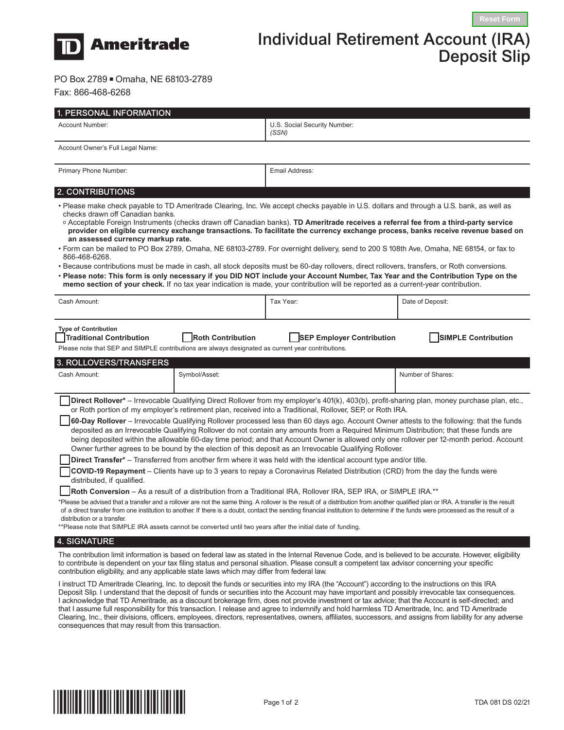

## Individual Retirement Account (IRA) Deposit Slip

PO Box 2789 Omaha, NE 68103-2789

Fax: 866-468-6268

| 1. PERSONAL INFORMATION                                                                                                                                                                                                                                                                                                                                                                                                                                                                                                                                                                                                                                                                                                                                                                                                                                                                                                                                                                                                                                                                                                                                                                                                                                                                                                                                                                                                                                                                                                                                                                                                                                                                                                                              |                          |                                                                                                                                                                                                                                                                                                                                                                                                                                                          |                            |  |
|------------------------------------------------------------------------------------------------------------------------------------------------------------------------------------------------------------------------------------------------------------------------------------------------------------------------------------------------------------------------------------------------------------------------------------------------------------------------------------------------------------------------------------------------------------------------------------------------------------------------------------------------------------------------------------------------------------------------------------------------------------------------------------------------------------------------------------------------------------------------------------------------------------------------------------------------------------------------------------------------------------------------------------------------------------------------------------------------------------------------------------------------------------------------------------------------------------------------------------------------------------------------------------------------------------------------------------------------------------------------------------------------------------------------------------------------------------------------------------------------------------------------------------------------------------------------------------------------------------------------------------------------------------------------------------------------------------------------------------------------------|--------------------------|----------------------------------------------------------------------------------------------------------------------------------------------------------------------------------------------------------------------------------------------------------------------------------------------------------------------------------------------------------------------------------------------------------------------------------------------------------|----------------------------|--|
| Account Number:                                                                                                                                                                                                                                                                                                                                                                                                                                                                                                                                                                                                                                                                                                                                                                                                                                                                                                                                                                                                                                                                                                                                                                                                                                                                                                                                                                                                                                                                                                                                                                                                                                                                                                                                      |                          | U.S. Social Security Number:<br>(SSN)                                                                                                                                                                                                                                                                                                                                                                                                                    |                            |  |
| Account Owner's Full Legal Name:                                                                                                                                                                                                                                                                                                                                                                                                                                                                                                                                                                                                                                                                                                                                                                                                                                                                                                                                                                                                                                                                                                                                                                                                                                                                                                                                                                                                                                                                                                                                                                                                                                                                                                                     |                          |                                                                                                                                                                                                                                                                                                                                                                                                                                                          |                            |  |
| Primary Phone Number:                                                                                                                                                                                                                                                                                                                                                                                                                                                                                                                                                                                                                                                                                                                                                                                                                                                                                                                                                                                                                                                                                                                                                                                                                                                                                                                                                                                                                                                                                                                                                                                                                                                                                                                                |                          | Email Address:                                                                                                                                                                                                                                                                                                                                                                                                                                           |                            |  |
| 2. CONTRIBUTIONS                                                                                                                                                                                                                                                                                                                                                                                                                                                                                                                                                                                                                                                                                                                                                                                                                                                                                                                                                                                                                                                                                                                                                                                                                                                                                                                                                                                                                                                                                                                                                                                                                                                                                                                                     |                          |                                                                                                                                                                                                                                                                                                                                                                                                                                                          |                            |  |
| • Please make check payable to TD Ameritrade Clearing, Inc. We accept checks payable in U.S. dollars and through a U.S. bank, as well as<br>checks drawn off Canadian banks.<br>o Acceptable Foreign Instruments (checks drawn off Canadian banks). TD Ameritrade receives a referral fee from a third-party service<br>provider on eligible currency exchange transactions. To facilitate the currency exchange process, banks receive revenue based on<br>an assessed currency markup rate.<br>• Form can be mailed to PO Box 2789, Omaha, NE 68103-2789. For overnight delivery, send to 200 S 108th Ave, Omaha, NE 68154, or fax to<br>866-468-6268.<br>• Because contributions must be made in cash, all stock deposits must be 60-day rollovers, direct rollovers, transfers, or Roth conversions.<br>• Please note: This form is only necessary if you DID NOT include your Account Number, Tax Year and the Contribution Type on the<br>memo section of your check. If no tax year indication is made, your contribution will be reported as a current-year contribution.                                                                                                                                                                                                                                                                                                                                                                                                                                                                                                                                                                                                                                                                    |                          |                                                                                                                                                                                                                                                                                                                                                                                                                                                          |                            |  |
| Cash Amount:                                                                                                                                                                                                                                                                                                                                                                                                                                                                                                                                                                                                                                                                                                                                                                                                                                                                                                                                                                                                                                                                                                                                                                                                                                                                                                                                                                                                                                                                                                                                                                                                                                                                                                                                         |                          | Tax Year:                                                                                                                                                                                                                                                                                                                                                                                                                                                | Date of Deposit:           |  |
| <b>Type of Contribution</b><br><b>Traditional Contribution</b><br>Please note that SEP and SIMPLE contributions are always designated as current year contributions.<br>3. ROLLOVERS/TRANSFERS                                                                                                                                                                                                                                                                                                                                                                                                                                                                                                                                                                                                                                                                                                                                                                                                                                                                                                                                                                                                                                                                                                                                                                                                                                                                                                                                                                                                                                                                                                                                                       | <b>Roth Contribution</b> | <b>SEP Employer Contribution</b>                                                                                                                                                                                                                                                                                                                                                                                                                         | <b>SIMPLE Contribution</b> |  |
| Cash Amount:                                                                                                                                                                                                                                                                                                                                                                                                                                                                                                                                                                                                                                                                                                                                                                                                                                                                                                                                                                                                                                                                                                                                                                                                                                                                                                                                                                                                                                                                                                                                                                                                                                                                                                                                         | Symbol/Asset:            |                                                                                                                                                                                                                                                                                                                                                                                                                                                          | Number of Shares:          |  |
| Direct Rollover* - Irrevocable Qualifying Direct Rollover from my employer's 401(k), 403(b), profit-sharing plan, money purchase plan, etc.,<br>or Roth portion of my employer's retirement plan, received into a Traditional, Rollover, SEP, or Roth IRA.<br>60-Day Rollover - Irrevocable Qualifying Rollover processed less than 60 days ago. Account Owner attests to the following: that the funds<br>deposited as an Irrevocable Qualifying Rollover do not contain any amounts from a Required Minimum Distribution; that these funds are<br>being deposited within the allowable 60-day time period; and that Account Owner is allowed only one rollover per 12-month period. Account<br>Owner further agrees to be bound by the election of this deposit as an Irrevocable Qualifying Rollover.<br>Direct Transfer* – Transferred from another firm where it was held with the identical account type and/or title.<br><b>COVID-19 Repayment</b> – Clients have up to 3 years to repay a Coronavirus Related Distribution (CRD) from the day the funds were<br>distributed, if qualified.<br><b> Roth Conversion</b> – As a result of a distribution from a Traditional IRA, Rollover IRA, SEP IRA, or SIMPLE IRA.**<br>*Please be advised that a transfer and a rollover are not the same thing. A rollover is the result of a distribution from another qualified plan or IRA. A transfer is the result<br>of a direct transfer from one institution to another. If there is a doubt, contact the sending financial institution to determine if the funds were processed as the result of a<br>distribution or a transfer.<br>**Please note that SIMPLE IRA assets cannot be converted until two years after the initial date of funding. |                          |                                                                                                                                                                                                                                                                                                                                                                                                                                                          |                            |  |
| <b>4. SIGNATURE</b>                                                                                                                                                                                                                                                                                                                                                                                                                                                                                                                                                                                                                                                                                                                                                                                                                                                                                                                                                                                                                                                                                                                                                                                                                                                                                                                                                                                                                                                                                                                                                                                                                                                                                                                                  |                          |                                                                                                                                                                                                                                                                                                                                                                                                                                                          |                            |  |
| contribution eligibility, and any applicable state laws which may differ from federal law.                                                                                                                                                                                                                                                                                                                                                                                                                                                                                                                                                                                                                                                                                                                                                                                                                                                                                                                                                                                                                                                                                                                                                                                                                                                                                                                                                                                                                                                                                                                                                                                                                                                           |                          | The contribution limit information is based on federal law as stated in the Internal Revenue Code, and is believed to be accurate. However, eligibility<br>to contribute is dependent on your tax filing status and personal situation. Please consult a competent tax advisor concerning your specific<br>Lingtrust TD Ameritrade Clearing Jne to deposit the funde or coourities into my IDA (the "Acosumt") cooerding to the instructions on this IDA |                            |  |

I instruct TD Ameritrade Clearing, Inc. to deposit the funds or securities into my IRA (the "Account") according to the instructions on this IRA Deposit Slip. I understand that the deposit of funds or securities into the Account may have important and possibly irrevocable tax consequences. I acknowledge that TD Ameritrade, as a discount brokerage firm, does not provide investment or tax advice; that the Account is self-directed; and that I assume full responsibility for this transaction. I release and agree to indemnify and hold harmless TD Ameritrade, Inc. and TD Ameritrade Clearing, Inc., their divisions, officers, employees, directors, representatives, owners, affiliates, successors, and assigns from liability for any adverse consequences that may result from this transaction.